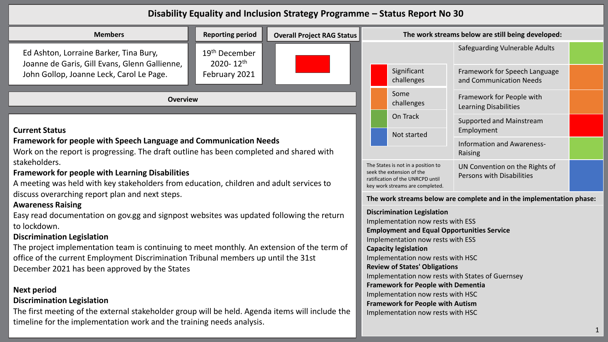## **Disability Equality and Inclusion Strategy Programme – Status Report No 30**

| <b>Reporting period</b><br><b>Overall Project RAG Status</b><br><b>Members</b>                                                                                                                                                                                                                                                                                                                                                                                                                                                                                               |                                                                      |                                                                                                                                                                                                       | The work streams below are still being developed:         |                                                                                                                                                                                                                                                                                                                                                                                                                                                |                                                          |  |
|------------------------------------------------------------------------------------------------------------------------------------------------------------------------------------------------------------------------------------------------------------------------------------------------------------------------------------------------------------------------------------------------------------------------------------------------------------------------------------------------------------------------------------------------------------------------------|----------------------------------------------------------------------|-------------------------------------------------------------------------------------------------------------------------------------------------------------------------------------------------------|-----------------------------------------------------------|------------------------------------------------------------------------------------------------------------------------------------------------------------------------------------------------------------------------------------------------------------------------------------------------------------------------------------------------------------------------------------------------------------------------------------------------|----------------------------------------------------------|--|
| Ed Ashton, Lorraine Barker, Tina Bury,<br>Joanne de Garis, Gill Evans, Glenn Gallienne,                                                                                                                                                                                                                                                                                                                                                                                                                                                                                      | 19 <sup>th</sup> December<br>$2020 - 12$ <sup>th</sup>               |                                                                                                                                                                                                       |                                                           |                                                                                                                                                                                                                                                                                                                                                                                                                                                | Safeguarding Vulnerable Adults                           |  |
| John Gollop, Joanne Leck, Carol Le Page.                                                                                                                                                                                                                                                                                                                                                                                                                                                                                                                                     | February 2021                                                        |                                                                                                                                                                                                       |                                                           | Significant<br>challenges                                                                                                                                                                                                                                                                                                                                                                                                                      | Framework for Speech Language<br>and Communication Needs |  |
| <b>Overview</b>                                                                                                                                                                                                                                                                                                                                                                                                                                                                                                                                                              |                                                                      | Some<br>challenges                                                                                                                                                                                    | Framework for People with<br><b>Learning Disabilities</b> |                                                                                                                                                                                                                                                                                                                                                                                                                                                |                                                          |  |
| <b>Current Status</b>                                                                                                                                                                                                                                                                                                                                                                                                                                                                                                                                                        |                                                                      |                                                                                                                                                                                                       |                                                           | On Track<br>Not started                                                                                                                                                                                                                                                                                                                                                                                                                        | Supported and Mainstream<br>Employment                   |  |
| <b>Framework for people with Speech Language and Communication Needs</b><br>Work on the report is progressing. The draft outline has been completed and shared with                                                                                                                                                                                                                                                                                                                                                                                                          |                                                                      |                                                                                                                                                                                                       | Information and Awareness-<br>Raising                     |                                                                                                                                                                                                                                                                                                                                                                                                                                                |                                                          |  |
| stakeholders.<br><b>Framework for people with Learning Disabilities</b><br>A meeting was held with key stakeholders from education, children and adult services to                                                                                                                                                                                                                                                                                                                                                                                                           |                                                                      | The States is not in a position to<br>UN Convention on the Rights of<br>seek the extension of the<br>Persons with Disabilities<br>ratification of the UNRCPD until<br>key work streams are completed. |                                                           |                                                                                                                                                                                                                                                                                                                                                                                                                                                |                                                          |  |
| discuss overarching report plan and next steps.                                                                                                                                                                                                                                                                                                                                                                                                                                                                                                                              | The work streams below are complete and in the implementation phase: |                                                                                                                                                                                                       |                                                           |                                                                                                                                                                                                                                                                                                                                                                                                                                                |                                                          |  |
| <b>Awareness Raising</b><br>Easy read documentation on gov.gg and signpost websites was updated following the return<br>to lockdown.<br><b>Discrimination Legislation</b><br>The project implementation team is continuing to meet monthly. An extension of the term of<br>office of the current Employment Discrimination Tribunal members up until the 31st<br>December 2021 has been approved by the States<br><b>Next period</b><br><b>Discrimination Legislation</b><br>The first meeting of the external stakeholder group will be held. Agenda items will include the |                                                                      |                                                                                                                                                                                                       |                                                           | <b>Discrimination Legislation</b><br>Implementation now rests with ESS<br><b>Employment and Equal Opportunities Service</b><br>Implementation now rests with ESS<br><b>Capacity legislation</b><br>Implementation now rests with HSC<br><b>Review of States' Obligations</b><br><b>Framework for People with Dementia</b><br>Implementation now rests with HSC<br><b>Framework for People with Autism</b><br>Implementation now rests with HSC | Implementation now rests with States of Guernsey         |  |
| timeline for the implementation work and the training needs analysis.                                                                                                                                                                                                                                                                                                                                                                                                                                                                                                        |                                                                      |                                                                                                                                                                                                       |                                                           |                                                                                                                                                                                                                                                                                                                                                                                                                                                |                                                          |  |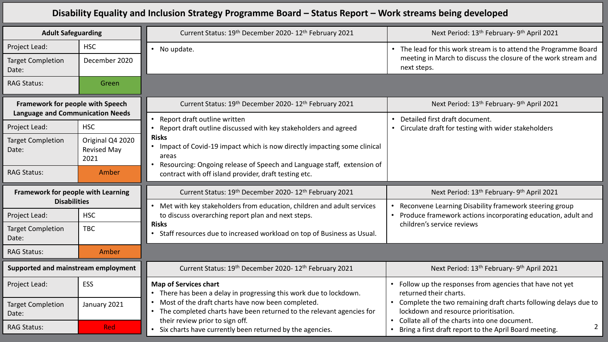## **Disability Equality and Inclusion Strategy Programme Board – Status Report – Work streams being developed**

| <b>Adult Safeguarding</b>                                                   |                                                | Current Status: 19th December 2020-12th February 2021                                                                                                        | Next Period: 13 <sup>th</sup> February- 9 <sup>th</sup> April 2021                                                                                       |  |
|-----------------------------------------------------------------------------|------------------------------------------------|--------------------------------------------------------------------------------------------------------------------------------------------------------------|----------------------------------------------------------------------------------------------------------------------------------------------------------|--|
| Project Lead:                                                               | <b>HSC</b>                                     | • No update.                                                                                                                                                 | The lead for this work stream is to attend the Programme Board<br>$\bullet$                                                                              |  |
| <b>Target Completion</b><br>Date:                                           | December 2020                                  |                                                                                                                                                              | meeting in March to discuss the closure of the work stream and<br>next steps.                                                                            |  |
| <b>RAG Status:</b>                                                          | Green                                          |                                                                                                                                                              |                                                                                                                                                          |  |
| Framework for people with Speech<br><b>Language and Communication Needs</b> |                                                | Current Status: 19th December 2020-12th February 2021                                                                                                        | Next Period: 13 <sup>th</sup> February- 9 <sup>th</sup> April 2021                                                                                       |  |
| Project Lead:                                                               | <b>HSC</b>                                     | Report draft outline written<br>Report draft outline discussed with key stakeholders and agreed                                                              | Detailed first draft document.<br>$\bullet$<br>• Circulate draft for testing with wider stakeholders                                                     |  |
| <b>Target Completion</b><br>Date:                                           | Original Q4 2020<br><b>Revised May</b><br>2021 | <b>Risks</b><br>Impact of Covid-19 impact which is now directly impacting some clinical<br>$\bullet$<br>areas                                                |                                                                                                                                                          |  |
| <b>RAG Status:</b>                                                          | Amber                                          | Resourcing: Ongoing release of Speech and Language staff, extension of<br>contract with off island provider, draft testing etc.                              |                                                                                                                                                          |  |
|                                                                             |                                                |                                                                                                                                                              |                                                                                                                                                          |  |
| Framework for people with Learning                                          |                                                | Current Status: 19th December 2020-12th February 2021                                                                                                        | Next Period: 13 <sup>th</sup> February- 9 <sup>th</sup> April 2021                                                                                       |  |
| <b>Disabilities</b>                                                         |                                                | Met with key stakeholders from education, children and adult services                                                                                        | Reconvene Learning Disability framework steering group                                                                                                   |  |
| Project Lead:                                                               | <b>HSC</b>                                     | to discuss overarching report plan and next steps.                                                                                                           | Produce framework actions incorporating education, adult and                                                                                             |  |
| <b>Target Completion</b><br>Date:                                           | <b>TBC</b>                                     | <b>Risks</b><br>Staff resources due to increased workload on top of Business as Usual.                                                                       | children's service reviews                                                                                                                               |  |
| <b>RAG Status:</b>                                                          | Amber                                          |                                                                                                                                                              |                                                                                                                                                          |  |
| Supported and mainstream employment                                         |                                                | Current Status: 19th December 2020-12th February 2021                                                                                                        | Next Period: 13 <sup>th</sup> February- 9 <sup>th</sup> April 2021                                                                                       |  |
| Project Lead:                                                               | <b>ESS</b>                                     | <b>Map of Services chart</b><br>• There has been a delay in progressing this work due to lockdown.                                                           | Follow up the responses from agencies that have not yet<br>returned their charts.                                                                        |  |
| <b>Target Completion</b><br>Date:                                           | January 2021                                   | Most of the draft charts have now been completed.<br>The completed charts have been returned to the relevant agencies for<br>their review prior to sign off. | Complete the two remaining draft charts following delays due to<br>lockdown and resource prioritisation.<br>Collate all of the charts into one document. |  |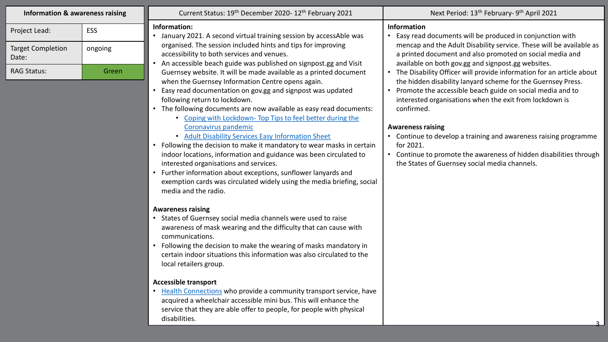| <b>Information &amp; awareness raising</b>                               |                         | Current Status: 19th December 2020-12th February 2021                                                                                                                                                                                                                                                                                                                                                                                                                                                                                                                                                                                                                                                                                                                                                                                                                                                                                                                                                                                                                                                                                                                                                                                                                                                                                                                                                                                                                                                                                                                                                                                                                                                           | Next Period: 13 <sup>th</sup> February- 9 <sup>th</sup> April 2021                                                                                                                                                                                                                                                                                                                                                                                                                                                                                                                                                                                                                                                                                                                        |
|--------------------------------------------------------------------------|-------------------------|-----------------------------------------------------------------------------------------------------------------------------------------------------------------------------------------------------------------------------------------------------------------------------------------------------------------------------------------------------------------------------------------------------------------------------------------------------------------------------------------------------------------------------------------------------------------------------------------------------------------------------------------------------------------------------------------------------------------------------------------------------------------------------------------------------------------------------------------------------------------------------------------------------------------------------------------------------------------------------------------------------------------------------------------------------------------------------------------------------------------------------------------------------------------------------------------------------------------------------------------------------------------------------------------------------------------------------------------------------------------------------------------------------------------------------------------------------------------------------------------------------------------------------------------------------------------------------------------------------------------------------------------------------------------------------------------------------------------|-------------------------------------------------------------------------------------------------------------------------------------------------------------------------------------------------------------------------------------------------------------------------------------------------------------------------------------------------------------------------------------------------------------------------------------------------------------------------------------------------------------------------------------------------------------------------------------------------------------------------------------------------------------------------------------------------------------------------------------------------------------------------------------------|
| Project Lead:<br><b>Target Completion</b><br>Date:<br><b>RAG Status:</b> | ESS<br>ongoing<br>Green | Information:<br>• January 2021. A second virtual training session by accessAble was<br>organised. The session included hints and tips for improving<br>accessibility to both services and venues.<br>An accessible beach guide was published on signpost.gg and Visit<br>Guernsey website. It will be made available as a printed document<br>when the Guernsey Information Centre opens again.<br>Easy read documentation on gov.gg and signpost was updated<br>following return to lockdown.<br>• The following documents are now available as easy read documents:<br>• Coping with Lockdown- Top Tips to feel better during the<br>Coronavirus pandemic<br>• Adult Disability Services Easy Information Sheet<br>• Following the decision to make it mandatory to wear masks in certain<br>indoor locations, information and guidance was been circulated to<br>interested organisations and services.<br>• Further information about exceptions, sunflower lanyards and<br>exemption cards was circulated widely using the media briefing, social<br>media and the radio.<br><b>Awareness raising</b><br>• States of Guernsey social media channels were used to raise<br>awareness of mask wearing and the difficulty that can cause with<br>communications.<br>• Following the decision to make the wearing of masks mandatory in<br>certain indoor situations this information was also circulated to the<br>local retailers group.<br><b>Accessible transport</b><br>• Health Connections who provide a community transport service, have<br>acquired a wheelchair accessible mini bus. This will enhance the<br>service that they are able offer to people, for people with physical<br>disabilities. | <b>Information</b><br>• Easy read documents will be produced in conjunction with<br>mencap and the Adult Disability service. These will be available as<br>a printed document and also promoted on social media and<br>available on both gov.gg and signpost.gg websites.<br>The Disability Officer will provide information for an article about<br>the hidden disability lanyard scheme for the Guernsey Press.<br>Promote the accessible beach guide on social media and to<br>interested organisations when the exit from lockdown is<br>confirmed.<br><b>Awareness raising</b><br>• Continue to develop a training and awareness raising programme<br>for 2021.<br>Continue to promote the awareness of hidden disabilities through<br>the States of Guernsey social media channels. |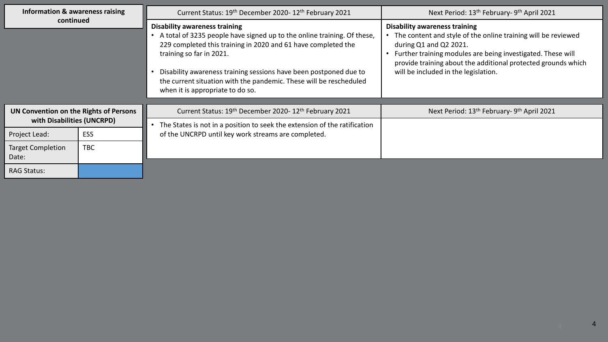| Information & awareness raising                                      |            | Current Status: 19 <sup>th</sup> December 2020-12 <sup>th</sup> February 2021                                                                                                                                                                                                                                                                                                               | Next Period: 13 <sup>th</sup> February- 9 <sup>th</sup> April 2021                                                                                                                                                                                                                                      |
|----------------------------------------------------------------------|------------|---------------------------------------------------------------------------------------------------------------------------------------------------------------------------------------------------------------------------------------------------------------------------------------------------------------------------------------------------------------------------------------------|---------------------------------------------------------------------------------------------------------------------------------------------------------------------------------------------------------------------------------------------------------------------------------------------------------|
| continued                                                            |            | <b>Disability awareness training</b><br>A total of 3235 people have signed up to the online training. Of these,<br>229 completed this training in 2020 and 61 have completed the<br>training so far in 2021.<br>Disability awareness training sessions have been postponed due to<br>the current situation with the pandemic. These will be rescheduled<br>when it is appropriate to do so. | <b>Disability awareness training</b><br>The content and style of the online training will be reviewed<br>during Q1 and Q2 2021.<br>Further training modules are being investigated. These will<br>provide training about the additional protected grounds which<br>will be included in the legislation. |
|                                                                      |            |                                                                                                                                                                                                                                                                                                                                                                                             |                                                                                                                                                                                                                                                                                                         |
| UN Convention on the Rights of Persons<br>with Disabilities (UNCRPD) |            | Current Status: 19th December 2020-12th February 2021                                                                                                                                                                                                                                                                                                                                       | Next Period: 13 <sup>th</sup> February- 9 <sup>th</sup> April 2021                                                                                                                                                                                                                                      |
|                                                                      |            | The States is not in a position to seek the extension of the ratification                                                                                                                                                                                                                                                                                                                   |                                                                                                                                                                                                                                                                                                         |
| Project Lead:                                                        | ESS        | of the UNCRPD until key work streams are completed.                                                                                                                                                                                                                                                                                                                                         |                                                                                                                                                                                                                                                                                                         |
| Target Completion<br>Date:                                           | <b>TBC</b> |                                                                                                                                                                                                                                                                                                                                                                                             |                                                                                                                                                                                                                                                                                                         |
| <b>RAG Status:</b>                                                   |            |                                                                                                                                                                                                                                                                                                                                                                                             |                                                                                                                                                                                                                                                                                                         |

4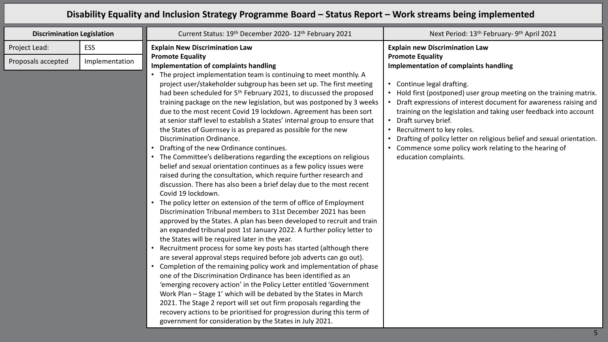## **Disability Equality and Inclusion Strategy Programme Board – Status Report – Work streams being implemented**

| <b>Discrimination Legislation</b> |                | Current Status: 19th December 2020-12th February 2021                                                                                                                                                                                                                                                                                                                                                                                                                                                                                                                                                                                                                                                                                                                                                                                                                                                                                                                                                                                                                                                                                                                                                                                                                                                                                                                                                                                                      | Next Period: 13 <sup>th</sup> February- 9 <sup>th</sup> April 2021                                                                                                                                                                                                                                                                               |
|-----------------------------------|----------------|------------------------------------------------------------------------------------------------------------------------------------------------------------------------------------------------------------------------------------------------------------------------------------------------------------------------------------------------------------------------------------------------------------------------------------------------------------------------------------------------------------------------------------------------------------------------------------------------------------------------------------------------------------------------------------------------------------------------------------------------------------------------------------------------------------------------------------------------------------------------------------------------------------------------------------------------------------------------------------------------------------------------------------------------------------------------------------------------------------------------------------------------------------------------------------------------------------------------------------------------------------------------------------------------------------------------------------------------------------------------------------------------------------------------------------------------------------|--------------------------------------------------------------------------------------------------------------------------------------------------------------------------------------------------------------------------------------------------------------------------------------------------------------------------------------------------|
| Project Lead:                     | <b>ESS</b>     | <b>Explain New Discrimination Law</b>                                                                                                                                                                                                                                                                                                                                                                                                                                                                                                                                                                                                                                                                                                                                                                                                                                                                                                                                                                                                                                                                                                                                                                                                                                                                                                                                                                                                                      | <b>Explain new Discrimination Law</b>                                                                                                                                                                                                                                                                                                            |
| Proposals accepted                | Implementation | <b>Promote Equality</b><br><b>Implementation of complaints handling</b><br>The project implementation team is continuing to meet monthly. A<br>project user/stakeholder subgroup has been set up. The first meeting<br>had been scheduled for 5 <sup>th</sup> February 2021, to discussed the proposed<br>training package on the new legislation, but was postponed by 3 weeks<br>due to the most recent Covid 19 lockdown. Agreement has been sort<br>at senior staff level to establish a States' internal group to ensure that                                                                                                                                                                                                                                                                                                                                                                                                                                                                                                                                                                                                                                                                                                                                                                                                                                                                                                                         | <b>Promote Equality</b><br>Implementation of complaints handling<br>Continue legal drafting.<br>$\bullet$<br>• Hold first (postponed) user group meeting on the training matrix.<br>Draft expressions of interest document for awareness raising and<br>training on the legislation and taking user feedback into account<br>Draft survey brief. |
|                                   |                | the States of Guernsey is as prepared as possible for the new<br>Discrimination Ordinance.<br>Drafting of the new Ordinance continues.<br>• The Committee's deliberations regarding the exceptions on religious<br>belief and sexual orientation continues as a few policy issues were<br>raised during the consultation, which require further research and<br>discussion. There has also been a brief delay due to the most recent<br>Covid 19 lockdown.<br>• The policy letter on extension of the term of office of Employment<br>Discrimination Tribunal members to 31st December 2021 has been<br>approved by the States. A plan has been developed to recruit and train<br>an expanded tribunal post 1st January 2022. A further policy letter to<br>the States will be required later in the year.<br>Recruitment process for some key posts has started (although there<br>are several approval steps required before job adverts can go out).<br>• Completion of the remaining policy work and implementation of phase<br>one of the Discrimination Ordinance has been identified as an<br>'emerging recovery action' in the Policy Letter entitled 'Government<br>Work Plan - Stage 1' which will be debated by the States in March<br>2021. The Stage 2 report will set out firm proposals regarding the<br>recovery actions to be prioritised for progression during this term of<br>government for consideration by the States in July 2021. | Recruitment to key roles.<br>Drafting of policy letter on religious belief and sexual orientation.<br>Commence some policy work relating to the hearing of<br>$\bullet$<br>education complaints.                                                                                                                                                 |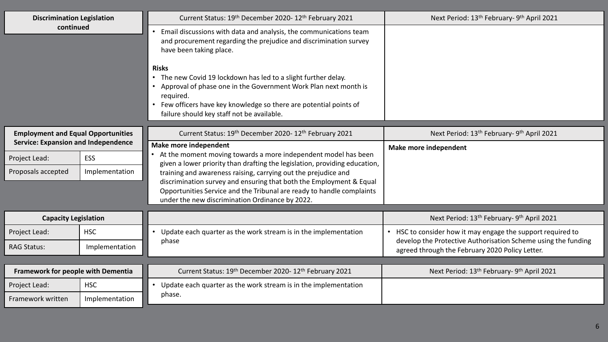| <b>Discrimination Legislation</b>          |                | Current Status: 19th December 2020-12th February 2021                                                                                                                                                                                                                          | Next Period: 13 <sup>th</sup> February- 9 <sup>th</sup> April 2021                                               |
|--------------------------------------------|----------------|--------------------------------------------------------------------------------------------------------------------------------------------------------------------------------------------------------------------------------------------------------------------------------|------------------------------------------------------------------------------------------------------------------|
| continued                                  |                | Email discussions with data and analysis, the communications team<br>and procurement regarding the prejudice and discrimination survey<br>have been taking place.                                                                                                              |                                                                                                                  |
|                                            |                | <b>Risks</b><br>The new Covid 19 lockdown has led to a slight further delay.<br>Approval of phase one in the Government Work Plan next month is<br>required.<br>Few officers have key knowledge so there are potential points of<br>failure should key staff not be available. |                                                                                                                  |
| <b>Employment and Equal Opportunities</b>  |                | Current Status: 19th December 2020-12th February 2021                                                                                                                                                                                                                          | Next Period: 13 <sup>th</sup> February- 9 <sup>th</sup> April 2021                                               |
| <b>Service: Expansion and Independence</b> |                | Make more independent<br>At the moment moving towards a more independent model has been                                                                                                                                                                                        | Make more independent                                                                                            |
| Project Lead:                              | ESS            | given a lower priority than drafting the legislation, providing education,                                                                                                                                                                                                     |                                                                                                                  |
| Proposals accepted                         | Implementation | training and awareness raising, carrying out the prejudice and<br>discrimination survey and ensuring that both the Employment & Equal<br>Opportunities Service and the Tribunal are ready to handle complaints<br>under the new discrimination Ordinance by 2022.              |                                                                                                                  |
| <b>Capacity Legislation</b>                |                |                                                                                                                                                                                                                                                                                | Next Period: 13 <sup>th</sup> February- 9 <sup>th</sup> April 2021                                               |
| Project Lead:                              | <b>HSC</b>     | • Update each quarter as the work stream is in the implementation                                                                                                                                                                                                              | HSC to consider how it may engage the support required to                                                        |
| <b>RAG Status:</b>                         | Implementation | phase                                                                                                                                                                                                                                                                          | develop the Protective Authorisation Scheme using the funding<br>agreed through the February 2020 Policy Letter. |
|                                            |                |                                                                                                                                                                                                                                                                                |                                                                                                                  |
| Framework for people with Dementia         |                | Current Status: 19th December 2020-12th February 2021                                                                                                                                                                                                                          | Next Period: 13 <sup>th</sup> February- 9 <sup>th</sup> April 2021                                               |
| Project Lead:                              | <b>HSC</b>     | • Update each quarter as the work stream is in the implementation                                                                                                                                                                                                              |                                                                                                                  |
| Framework written                          | Implementation | phase.                                                                                                                                                                                                                                                                         |                                                                                                                  |